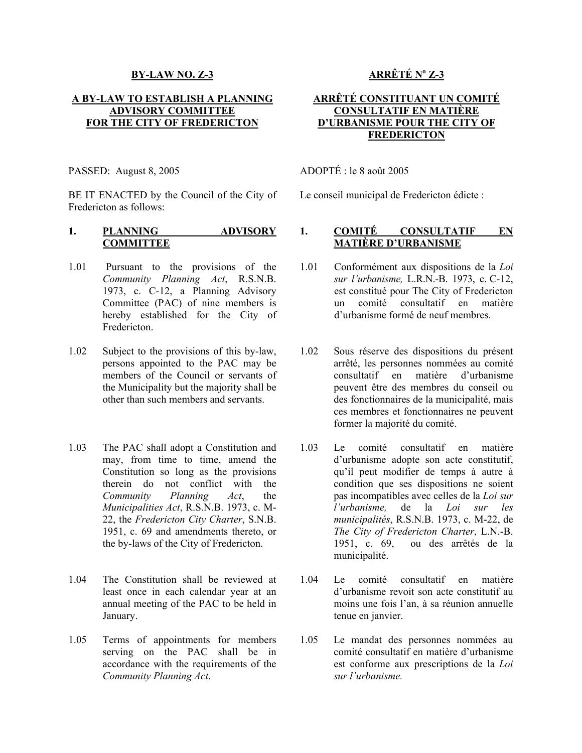#### **BY-LAW NO. Z-3**

## **A BY-LAW TO ESTABLISH A PLANNING ADVISORY COMMITTEE FOR THE CITY OF FREDERICTON**

BE IT ENACTED by the Council of the City of Fredericton as follows:

### **1. PLANNING ADVISORY COMMITTEE**

- 1.01 Pursuant to the provisions of the *Community Planning Act*, R.S.N.B. 1973, c. C-12, a Planning Advisory Committee (PAC) of nine members is hereby established for the City of Fredericton.
- 1.02 Subject to the provisions of this by-law, persons appointed to the PAC may be members of the Council or servants of the Municipality but the majority shall be other than such members and servants.
- 1.03 The PAC shall adopt a Constitution and may, from time to time, amend the Constitution so long as the provisions therein do not conflict with the *Community Planning Act*, the *Municipalities Act*, R.S.N.B. 1973, c. M-22, the *Fredericton City Charter*, S.N.B. 1951, c. 69 and amendments thereto, or the by-laws of the City of Fredericton.
- 1.04 The Constitution shall be reviewed at least once in each calendar year at an annual meeting of the PAC to be held in January.
- 1.05 Terms of appointments for members serving on the PAC shall be in accordance with the requirements of the *Community Planning Act*.

# **ARRÊTÉ No Z-3**

## **ARRÊTÉ CONSTITUANT UN COMITÉ CONSULTATIF EN MATIÈRE D'URBANISME POUR THE CITY OF FREDERICTON**

PASSED: August 8, 2005 ADOPTÉ : le 8 août 2005

Le conseil municipal de Fredericton édicte :

## **1. COMITÉ CONSULTATIF EN MATIÈRE D'URBANISME**

- 1.01 Conformément aux dispositions de la *Loi sur l'urbanisme,* L.R.N.-B. 1973, c. C-12, est constitué pour The City of Fredericton un comité consultatif en matière d'urbanisme formé de neuf membres.
- 1.02 Sous réserve des dispositions du présent arrêté, les personnes nommées au comité consultatif en matière d'urbanisme peuvent être des membres du conseil ou des fonctionnaires de la municipalité, mais ces membres et fonctionnaires ne peuvent former la majorité du comité.
- 1.03 Le comité consultatif en matière d'urbanisme adopte son acte constitutif, qu'il peut modifier de temps à autre à condition que ses dispositions ne soient pas incompatibles avec celles de la *Loi sur l'urbanisme,* de la *Loi sur les municipalités*, R.S.N.B. 1973, c. M-22, de *The City of Fredericton Charter*, L.N.-B. 1951, c. 69, ou des arrêtés de la municipalité.
- 1.04 Le comité consultatif en matière d'urbanisme revoit son acte constitutif au moins une fois l'an, à sa réunion annuelle tenue en janvier.
- 1.05 Le mandat des personnes nommées au comité consultatif en matière d'urbanisme est conforme aux prescriptions de la *Loi sur l'urbanisme.*